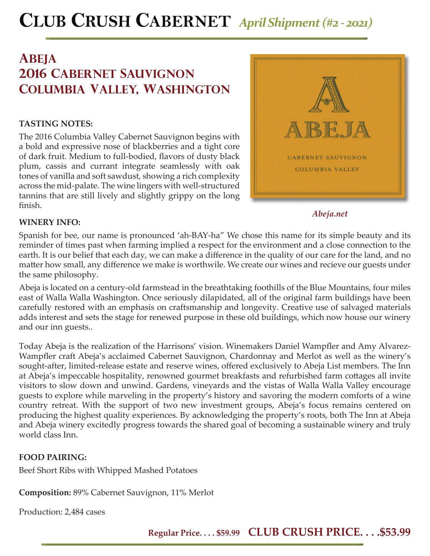# **CLUB CRUSH CABERNET** *April Shipment (#2 - 2021)*

# **abeja 2016 cabernet sauvignon columbia valley, washington**

### **TASTING NOTES:**

The 2016 Columbia Valley Cabernet Sauvignon begins with a bold and expressive nose of blackberries and a tight core of dark fruit. Medium to full-bodied, flavors of dusty black plum, cassis and currant integrate seamlessly with oak tones of vanilla and soft sawdust, showing a rich complexity across the mid-palate. The wine lingers with well-structured tannins that are still lively and slightly grippy on the long finish.



*Abeja.net*

#### **WINERY INFO:**

Spanish for bee, our name is pronounced 'ah-BAY-ha" We chose this name for its simple beauty and its reminder of times past when farming implied a respect for the environment and a close connection to the earth. It is our belief that each day, we can make a difference in the quality of our care for the land, and no matter how small, any difference we make is worthwile. We create our wines and recieve our guests under the same philosophy.

Abeja is located on a century-old farmstead in the breathtaking foothills of the Blue Mountains, four miles east of Walla Walla Washington. Once seriously dilapidated, all of the original farm buildings have been carefully restored with an emphasis on craftsmanship and longevity. Creative use of salvaged materials adds interest and sets the stage for renewed purpose in these old buildings, which now house our winery and our inn guests..

Today Abeja is the realization of the Harrisons' vision. Winemakers Daniel Wampfler and Amy Alvarez-Wampfler craft Abeja's acclaimed Cabernet Sauvignon, Chardonnay and Merlot as well as the winery's sought-after, limited-release estate and reserve wines, offered exclusively to Abeja List members. The Inn at Abeja's impeccable hospitality, renowned gourmet breakfasts and refurbished farm cottages all invite visitors to slow down and unwind. Gardens, vineyards and the vistas of Walla Walla Valley encourage guests to explore while marveling in the property's history and savoring the modern comforts of a wine country retreat. With the support of two new investment groups, Abeja's focus remains centered on producing the highest quality experiences. By acknowledging the property's roots, both The Inn at Abeja and Abeja winery excitedly progress towards the shared goal of becoming a sustainable winery and truly world class Inn.

#### **FOOD PAIRING:**

Beef Short Ribs with Whipped Mashed Potatoes

**Composition:** 89% Cabernet Sauvignon, 11% Merlot

Production: 2,484 cases